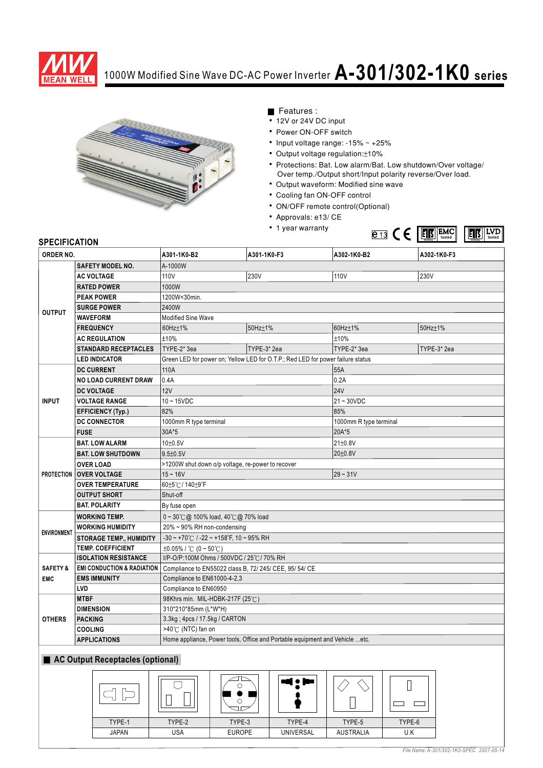

## 1000W Modified Sine Wave DC-AC Power Inverter **A-301/302-1K0 series**



- Features :
- 12V or 24V DC input
- Power ON-OFF switch
- Input voltage range:  $-15\% \sim +25\%$
- Output voltage regulation: ±10%
- Protections: Bat. Low alarm/Bat. Low shutdown/Over voltage/ Over temp./Output short/Input polarity reverse/Over load.
- Output waveform: Modified sine wave
- Cooling fan ON-OFF control
- ON/OFF remote control(Optional)
- Approvals: e13/ CE
- 1 year warranty



## **SPECIFICATION**

| ORDER NO.                         |                                       | A301-1K0-B2                                                                     | A301-1K0-F3                    | A302-1K0-B2            | A302-1K0-F3             |
|-----------------------------------|---------------------------------------|---------------------------------------------------------------------------------|--------------------------------|------------------------|-------------------------|
| SAFETY MODEL NO.                  |                                       | A-1000W                                                                         |                                |                        |                         |
| <b>OUTPUT</b>                     | <b>AC VOLTAGE</b>                     | 110V                                                                            | 230V                           | 110V                   | 230V                    |
|                                   | <b>RATED POWER</b>                    | 1000W                                                                           |                                |                        |                         |
|                                   | <b>PEAK POWER</b>                     | 1200W<30min.                                                                    |                                |                        |                         |
|                                   | <b>SURGE POWER</b>                    | 2400W                                                                           |                                |                        |                         |
|                                   | <b>WAVEFORM</b>                       | <b>Modified Sine Wave</b>                                                       |                                |                        |                         |
|                                   | <b>FREQUENCY</b>                      | 60Hz±1%                                                                         | 50Hz±1%                        | 60Hz±1%                | 50Hz±1%                 |
|                                   | <b>AC REGULATION</b>                  | ±10%                                                                            |                                | ±10%                   |                         |
|                                   | <b>STANDARD RECEPTACLES</b>           | TYPE-2* 3ea                                                                     | TYPE-3* 2ea                    | TYPE-2* 3ea            | TYPE-3* 2ea             |
|                                   | <b>LED INDICATOR</b>                  | Green LED for power on; Yellow LED for O.T.P.; Red LED for power failure status |                                |                        |                         |
| <b>INPUT</b>                      | <b>DC CURRENT</b>                     | 110A                                                                            |                                | 55A                    |                         |
|                                   | <b>NO LOAD CURRENT DRAW</b>           | 0.4A                                                                            |                                | 0.2A                   |                         |
|                                   | <b>DC VOLTAGE</b>                     | 12V                                                                             |                                | <b>24V</b>             |                         |
|                                   | <b>VOLTAGE RANGE</b>                  | $10 - 15$ VDC                                                                   |                                | $21 - 30VDC$           |                         |
|                                   | <b>EFFICIENCY (Typ.)</b>              | 82%                                                                             |                                | 85%                    |                         |
|                                   | <b>DC CONNECTOR</b>                   | 1000mm R type terminal                                                          |                                | 1000mm R type terminal |                         |
|                                   | <b>FUSE</b>                           | 30A*5                                                                           |                                | 20A*5                  |                         |
|                                   | <b>BAT. LOW ALARM</b>                 | 10±0.5V                                                                         |                                | $21 \pm 0.8V$          |                         |
|                                   | <b>BAT. LOW SHUTDOWN</b>              | $9.5 \pm 0.5 V$                                                                 |                                | 20±0.8V                |                         |
|                                   | <b>OVER LOAD</b>                      | >1200W shut down o/p voltage, re-power to recover                               |                                |                        |                         |
|                                   | <b>PROTECTION OVER VOLTAGE</b>        | $15 - 16V$                                                                      |                                | $29 - 31V$             |                         |
|                                   | <b>OVER TEMPERATURE</b>               | 60±5℃/140±9°F                                                                   |                                |                        |                         |
|                                   | <b>OUTPUT SHORT</b>                   | Shut-off                                                                        |                                |                        |                         |
|                                   | <b>BAT. POLARITY</b>                  | By fuse open                                                                    |                                |                        |                         |
| <b>ENVIRONMENT</b>                | <b>WORKING TEMP.</b>                  | $0 \sim 30^{\circ}$ ( $\omega$ 100% load, 40 $^{\circ}$ ( $\omega$ 70% load     |                                |                        |                         |
|                                   | <b>WORKING HUMIDITY</b>               | 20% ~ 90% RH non-condensing                                                     |                                |                        |                         |
|                                   | <b>STORAGE TEMP., HUMIDITY</b>        | $-30 \sim +70^{\circ}$ C / $-22 \sim +158^{\circ}$ F, 10 ~ 95% RH               |                                |                        |                         |
|                                   | <b>TEMP. COEFFICIENT</b>              | $\pm 0.05\%$ / °C (0 ~ 50°C)                                                    |                                |                        |                         |
| <b>SAFETY &amp;</b><br><b>EMC</b> | <b>ISOLATION RESISTANCE</b>           | I/P-O/P:100M Ohms / 500VDC / 25°C / 70% RH                                      |                                |                        |                         |
|                                   | <b>EMI CONDUCTION &amp; RADIATION</b> | Compliance to EN55022 class B, 72/ 245/ CEE, 95/ 54/ CE                         |                                |                        |                         |
|                                   | <b>EMS IMMUNITY</b>                   | Compliance to EN61000-4-2,3                                                     |                                |                        |                         |
|                                   | LVD                                   | Compliance to EN60950                                                           |                                |                        |                         |
| <b>OTHERS</b>                     | <b>MTBF</b>                           | 98Khrs min. MIL-HDBK-217F (25°C)                                                |                                |                        |                         |
|                                   | <b>DIMENSION</b>                      | 310*210*85mm (L*W*H)                                                            |                                |                        |                         |
|                                   | <b>PACKING</b>                        |                                                                                 | 3.3kg ; 4pcs / 17.5kg / CARTON |                        |                         |
|                                   | <b>COOLING</b>                        |                                                                                 | >40℃ (NTC) fan on              |                        |                         |
|                                   | <b>APPLICATIONS</b>                   | Home appliance, Power tools, Office and Portable equipment and Vehicle  etc.    |                                |                        |                         |
| AC Output Receptacles (optional)  |                                       |                                                                                 |                                |                        |                         |
|                                   |                                       | ι<br>$\circ$<br>О<br>ם ב                                                        |                                | ┓                      |                         |
|                                   | TYPE-1                                | TYPE-2<br>TYPE-3                                                                | TYPE-4                         | TYPE-5                 | TYPE-6                  |
|                                   | <b>JAPAN</b>                          | USA<br><b>EUROPE</b>                                                            | UNIVERSAL                      | <b>AUSTRALIA</b>       | $\mathsf{U}.\mathsf{K}$ |